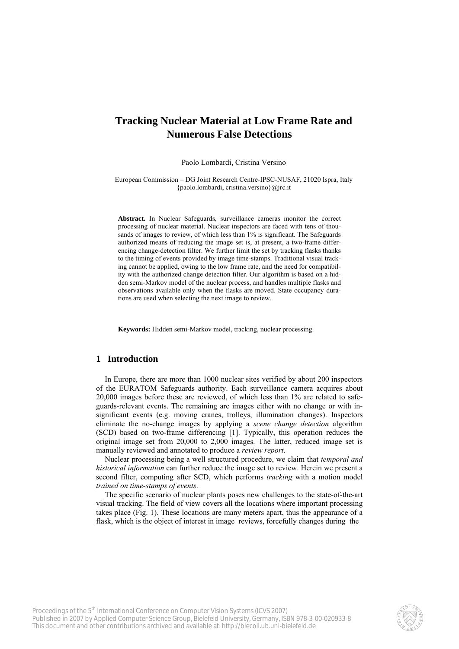# **Tracking Nuclear Material at Low Frame Rate and Numerous False Detections**

Paolo Lombardi, Cristina Versino

European Commission – DG Joint Research Centre-IPSC-NUSAF, 21020 Ispra, Italy {paolo.lombardi, cristina.versino}@jrc.it

**Abstract.** In Nuclear Safeguards, surveillance cameras monitor the correct processing of nuclear material. Nuclear inspectors are faced with tens of thousands of images to review, of which less than 1% is significant. The Safeguards authorized means of reducing the image set is, at present, a two-frame differencing change-detection filter. We further limit the set by tracking flasks thanks to the timing of events provided by image time-stamps. Traditional visual tracking cannot be applied, owing to the low frame rate, and the need for compatibility with the authorized change detection filter. Our algorithm is based on a hidden semi-Markov model of the nuclear process, and handles multiple flasks and observations available only when the flasks are moved. State occupancy durations are used when selecting the next image to review.

**Keywords:** Hidden semi-Markov model, tracking, nuclear processing.

# **1 Introduction**

In Europe, there are more than 1000 nuclear sites verified by about 200 inspectors of the EURATOM Safeguards authority. Each surveillance camera acquires about 20,000 images before these are reviewed, of which less than 1% are related to safeguards-relevant events. The remaining are images either with no change or with insignificant events (e.g. moving cranes, trolleys, illumination changes). Inspectors eliminate the no-change images by applying a *scene change detection* algorithm (SCD) based on two-frame differencing [1]. Typically, this operation reduces the original image set from 20,000 to 2,000 images. The latter, reduced image set is manually reviewed and annotated to produce a *review report*.

Nuclear processing being a well structured procedure, we claim that *temporal and historical information* can further reduce the image set to review. Herein we present a second filter, computing after SCD, which performs *tracking* with a motion model *trained on time-stamps of events*.

The specific scenario of nuclear plants poses new challenges to the state-of-the-art visual tracking. The field of view covers all the locations where important processing takes place (Fig. 1). These locations are many meters apart, thus the appearance of a flask, which is the object of interest in image reviews, forcefully changes during the

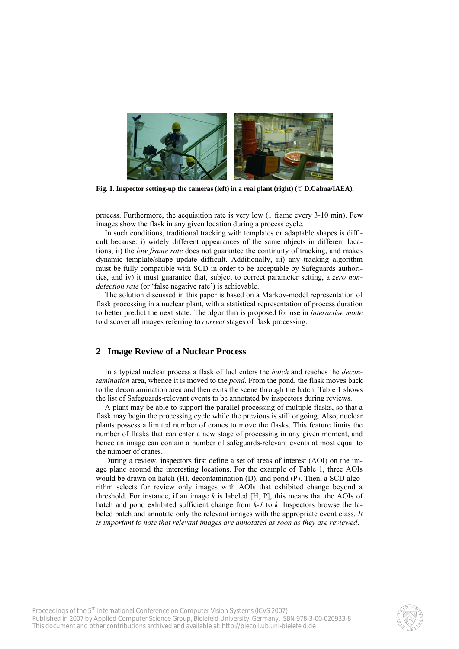

**Fig. 1. Inspector setting-up the cameras (left) in a real plant (right) (© D.Calma/IAEA).**

process. Furthermore, the acquisition rate is very low (1 frame every 3-10 min). Few images show the flask in any given location during a process cycle.

In such conditions, traditional tracking with templates or adaptable shapes is difficult because: i) widely different appearances of the same objects in different locations; ii) the *low frame rate* does not guarantee the continuity of tracking, and makes dynamic template/shape update difficult. Additionally, iii) any tracking algorithm must be fully compatible with SCD in order to be acceptable by Safeguards authorities, and iv) it must guarantee that, subject to correct parameter setting, a *zero nondetection rate* (or 'false negative rate') is achievable.

The solution discussed in this paper is based on a Markov-model representation of flask processing in a nuclear plant, with a statistical representation of process duration to better predict the next state. The algorithm is proposed for use in *interactive mode* to discover all images referring to *correct* stages of flask processing.

## **2 Image Review of a Nuclear Process**

In a typical nuclear process a flask of fuel enters the *hatch* and reaches the *decontamination* area, whence it is moved to the *pond*. From the pond, the flask moves back to the decontamination area and then exits the scene through the hatch. Table 1 shows the list of Safeguards-relevant events to be annotated by inspectors during reviews.

A plant may be able to support the parallel processing of multiple flasks, so that a flask may begin the processing cycle while the previous is still ongoing. Also, nuclear plants possess a limited number of cranes to move the flasks. This feature limits the number of flasks that can enter a new stage of processing in any given moment, and hence an image can contain a number of safeguards-relevant events at most equal to the number of cranes.

During a review, inspectors first define a set of areas of interest (AOI) on the image plane around the interesting locations. For the example of Table 1, three AOIs would be drawn on hatch (H), decontamination (D), and pond (P). Then, a SCD algorithm selects for review only images with AOIs that exhibited change beyond a threshold. For instance, if an image *k* is labeled [H, P], this means that the AOIs of hatch and pond exhibited sufficient change from *k-1* to *k*. Inspectors browse the labeled batch and annotate only the relevant images with the appropriate event class. *It is important to note that relevant images are annotated as soon as they are reviewed*.

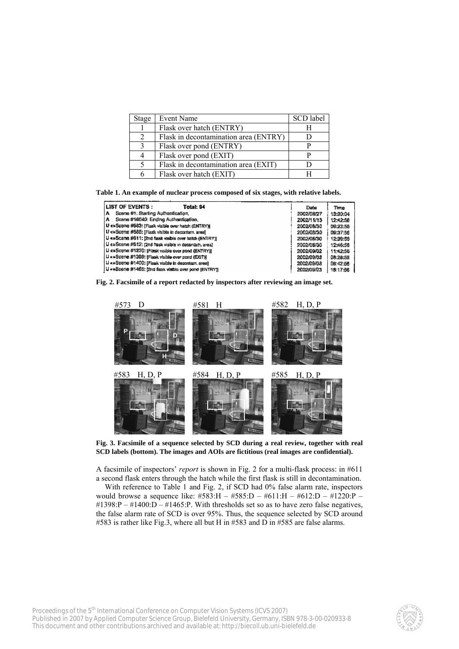| Stage          | Event Name                            | SCD label |
|----------------|---------------------------------------|-----------|
|                | Flask over hatch (ENTRY)              |           |
| $\mathfrak{D}$ | Flask in decontamination area (ENTRY) |           |
| 3              | Flask over pond (ENTRY)               |           |
|                | Flask over pond (EXIT)                |           |
|                | Flask in decontamination area (EXIT)  |           |
|                | Flask over hatch (EXIT)               |           |

**Table 1. An example of nuclear process composed of six stages, with relative labels.**

| LIST OF EVENTS :<br>Total: 94                          | Date       | Time     |
|--------------------------------------------------------|------------|----------|
| Scane #1: Starting Authentication,<br>A                | 2002/08/27 | 13:30:04 |
| Scana #16040: Ending Authentication,<br>А              | 2002/11/13 | 12:42:58 |
| U exScene #583: [Flask visible over hatch (ENTRY)]     | 2002/08/30 | 09:23:56 |
| Li «»Scene #585: [Flask visible in decontam, area)     | 2002/08/30 | 09:37:56 |
| U «»Scene #611; [2nd flask visible over hatch (ENTRY)] | 2002/08/30 | 12:39:56 |
| U exScene #612: (2nd Nask visible in decontam, area)   | 2002/08/30 | 12:46:58 |
| U exScene #1220: (Flask visible over pond (ENTRY))     | 2002/09/02 | 11:42:58 |
| U «»Scene #1398: [Flask visible over pond (EXIT)]      | 2002/09/03 | 08:28:55 |
| U «»Scene #1400; (Flask visible in decontem, area)     | 2002/09/03 | 08:42:56 |
| U «»Soene #1465: [2nd flask visible over pand [ENTRY]] | 2002/09/03 | 18:17:56 |
|                                                        |            |          |

**Fig. 2. Facsimile of a report redacted by inspectors after reviewing an image set.** 



**Fig. 3. Facsimile of a sequence selected by SCD during a real review, together with real SCD labels (bottom). The images and AOIs are fictitious (real images are confidential).**

A facsimile of inspectors' *report* is shown in Fig. 2 for a multi-flask process: in #611 a second flask enters through the hatch while the first flask is still in decontamination.

With reference to Table 1 and Fig. 2, if SCD had 0% false alarm rate, inspectors would browse a sequence like: #583:H – #585:D – #611:H – #612:D – #1220:P –  $\text{\#1398:P}-\text{\#1400:D}-\text{\#1465:P}$ . With thresholds set so as to have zero false negatives, the false alarm rate of SCD is over 95%. Thus, the sequence selected by SCD around #583 is rather like Fig.3, where all but H in #583 and D in #585 are false alarms.

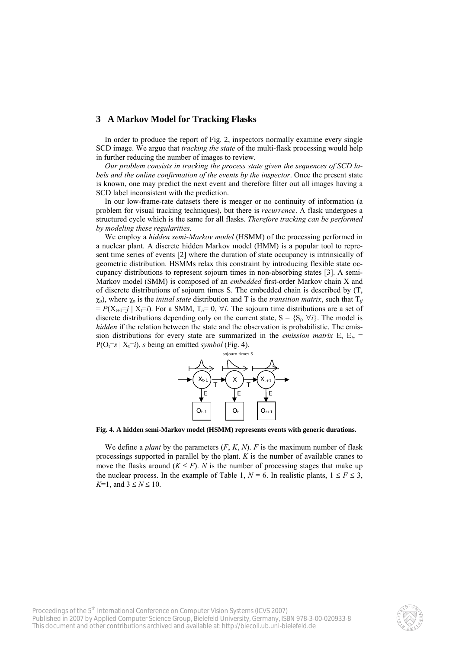## **3 A Markov Model for Tracking Flasks**

In order to produce the report of Fig. 2, inspectors normally examine every single SCD image. We argue that *tracking the state* of the multi-flask processing would help in further reducing the number of images to review.

*Our problem consists in tracking the process state given the sequences of SCD labels and the online confirmation of the events by the inspector*. Once the present state is known, one may predict the next event and therefore filter out all images having a SCD label inconsistent with the prediction.

In our low-frame-rate datasets there is meager or no continuity of information (a problem for visual tracking techniques), but there is *recurrence*. A flask undergoes a structured cycle which is the same for all flasks. *Therefore tracking can be performed by modeling these regularities*.

We employ a *hidden semi-Markov model* (HSMM) of the processing performed in a nuclear plant. A discrete hidden Markov model (HMM) is a popular tool to represent time series of events [2] where the duration of state occupancy is intrinsically of geometric distribution. HSMMs relax this constraint by introducing flexible state occupancy distributions to represent sojourn times in non-absorbing states [3]. A semi-Markov model (SMM) is composed of an *embedded* first-order Markov chain X and of discrete distributions of sojourn times S. The embedded chain is described by (T,  $χ<sub>0</sub>$ ), where  $χ<sub>0</sub>$  is the *initial state* distribution and T is the *transition matrix*, such that  $T<sub>ij</sub>$  $= P(X_{t+1} = j \mid X_t = i)$ . For a SMM,  $T_{ij} = 0$ ,  $\forall i$ . The sojourn time distributions are a set of discrete distributions depending only on the current state,  $S = \{S_i, \forall i\}$ . The model is *hidden* if the relation between the state and the observation is probabilistic. The emission distributions for every state are summarized in the *emission matrix* E,  $E_i =$  $P(O_t=s | X_t=i)$ , *s* being an emitted *symbol* (Fig. 4).



**Fig. 4. A hidden semi-Markov model (HSMM) represents events with generic durations.**

We define a *plant* by the parameters (*F*, *K*, *N*). *F* is the maximum number of flask processings supported in parallel by the plant. *K* is the number of available cranes to move the flasks around  $(K \leq F)$ . *N* is the number of processing stages that make up the nuclear process. In the example of Table 1,  $N = 6$ . In realistic plants,  $1 \le F \le 3$ , *K*=1, and  $3 \le N \le 10$ .

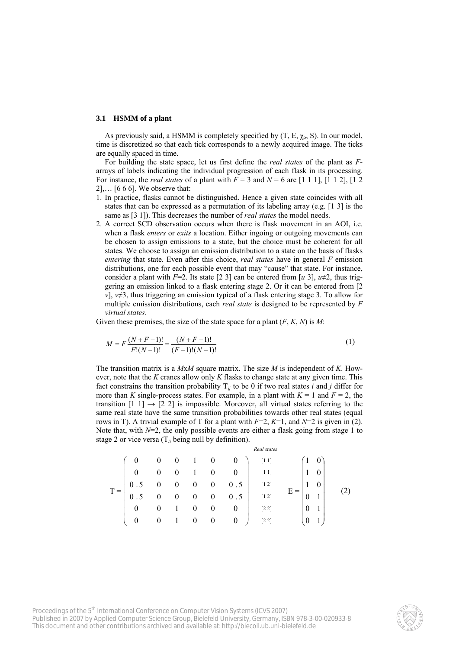## **3.1 HSMM of a plant**

As previously said, a HSMM is completely specified by  $(T, E, \chi_0, S)$ . In our model, time is discretized so that each tick corresponds to a newly acquired image. The ticks are equally spaced in time.

For building the state space, let us first define the *real states* of the plant as *F*arrays of labels indicating the individual progression of each flask in its processing. For instance, the *real states* of a plant with  $F = 3$  and  $N = 6$  are [1 1 1], [1 1 2], [1 2]  $2]_{1}$ ... [6 6 6]. We observe that:

- 1. In practice, flasks cannot be distinguished. Hence a given state coincides with all states that can be expressed as a permutation of its labeling array (e.g. [1 3] is the same as [3 1]). This decreases the number of *real states* the model needs.
- 2. A correct SCD observation occurs when there is flask movement in an AOI, i.e. when a flask *enters* or *exits* a location. Either ingoing or outgoing movements can be chosen to assign emissions to a state, but the choice must be coherent for all states. We choose to assign an emission distribution to a state on the basis of flasks *entering* that state. Even after this choice, *real states* have in general *F* emission distributions, one for each possible event that may "cause" that state. For instance, consider a plant with  $F=2$ . Its state [2 3] can be entered from [*u* 3],  $u\neq 2$ , thus triggering an emission linked to a flask entering stage 2. Or it can be entered from [2 *v*], *v*≠3, thus triggering an emission typical of a flask entering stage 3. To allow for multiple emission distributions, each *real state* is designed to be represented by *F virtual states*.

Given these premises, the size of the state space for a plant  $(F, K, N)$  is  $M$ :

$$
M = F \frac{(N+F-1)!}{F!(N-1)!} = \frac{(N+F-1)!}{(F-1)!(N-1)!}
$$
\n(1)

The transition matrix is a *M*x*M* square matrix. The size *M* is independent of *K*. However, note that the *K* cranes allow only *K* flasks to change state at any given time. This fact constrains the transition probability  $T_{ij}$  to be 0 if two real states *i* and *j* differ for more than *K* single-process states. For example, in a plant with  $K = 1$  and  $F = 2$ , the transition  $[1 \ 1] \rightarrow [2 \ 2]$  is impossible. Moreover, all virtual states referring to the same real state have the same transition probabilities towards other real states (equal rows in T). A trivial example of T for a plant with  $F=2$ ,  $K=1$ , and  $N=2$  is given in (2). Note that, with  $N=2$ , the only possible events are either a flask going from stage 1 to stage 2 or vice versa  $(T_{ii}$  being null by definition).

⎟ ⎟ ⎟ ⎟ ⎟ ⎟ ⎟ ⎟ ⎠ ⎞ ⎜ ⎜ ⎜ ⎜ ⎜ ⎜ ⎜ ⎜ ⎝ ⎛ 000100 000100 5.000005.0 5.000005.0 001000 001000 ⎟ ⎟ ⎟ ⎟ ⎟ ⎟ ⎟ ⎟ ⎠ ⎞ ⎜ ⎜ ⎜ ⎜ ⎜ ⎜ ⎜ ⎜ ⎝ ⎛ 10 10 10 01 01 [1 1] 01 [1 1] [1 2] [1 2] [2 2] [2 2] T = E = (2) *Real states* 

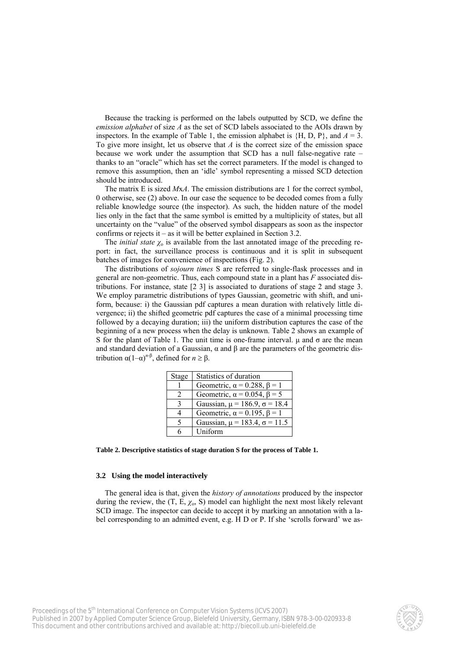Because the tracking is performed on the labels outputted by SCD, we define the *emission alphabet* of size *A* as the set of SCD labels associated to the AOIs drawn by inspectors. In the example of Table 1, the emission alphabet is  $\{H, D, P\}$ , and  $A = 3$ . To give more insight, let us observe that *A* is the correct size of the emission space because we work under the assumption that SCD has a null false-negative rate – thanks to an "oracle" which has set the correct parameters. If the model is changed to remove this assumption, then an 'idle' symbol representing a missed SCD detection should be introduced.

The matrix E is sized *M*x*A*. The emission distributions are 1 for the correct symbol, 0 otherwise, see (2) above. In our case the sequence to be decoded comes from a fully reliable knowledge source (the inspector). As such, the hidden nature of the model lies only in the fact that the same symbol is emitted by a multiplicity of states, but all uncertainty on the "value" of the observed symbol disappears as soon as the inspector confirms or rejects it – as it will be better explained in Section 3.2.

The *initial state*  $\chi_0$  is available from the last annotated image of the preceding report: in fact, the surveillance process is continuous and it is split in subsequent batches of images for convenience of inspections (Fig. 2).

The distributions of *sojourn times* S are referred to single-flask processes and in general are non-geometric. Thus, each compound state in a plant has *F* associated distributions. For instance, state [2 3] is associated to durations of stage 2 and stage 3. We employ parametric distributions of types Gaussian, geometric with shift, and uniform, because: i) the Gaussian pdf captures a mean duration with relatively little divergence; ii) the shifted geometric pdf captures the case of a minimal processing time followed by a decaying duration; iii) the uniform distribution captures the case of the beginning of a new process when the delay is unknown. Table 2 shows an example of S for the plant of Table 1. The unit time is one-frame interval.  $\mu$  and  $\sigma$  are the mean and standard deviation of a Gaussian,  $\alpha$  and  $\beta$  are the parameters of the geometric distribution  $\alpha(1-\alpha)^{n-\beta}$ , defined for *n* ≥ β.

| Stage | Statistics of duration                    |
|-------|-------------------------------------------|
|       | Geometric, $\alpha = 0.288$ , $\beta = 1$ |
|       | Geometric, $\alpha$ = 0.054, $\beta$ = 5  |
| ζ     | Gaussian, $\mu$ = 186.9, $\sigma$ = 18.4  |
|       | Geometric, $\alpha = 0.195$ , $\beta = 1$ |
| 5     | Gaussian, $\mu$ = 183.4, $\sigma$ = 11.5  |
| h     | Uniform                                   |

**Table 2. Descriptive statistics of stage duration S for the process of Table 1.**

## **3.2 Using the model interactively**

The general idea is that, given the *history of annotations* produced by the inspector during the review, the  $(T, E, \chi_0, S)$  model can highlight the next most likely relevant SCD image. The inspector can decide to accept it by marking an annotation with a label corresponding to an admitted event, e.g. H D or P. If she 'scrolls forward' we as-

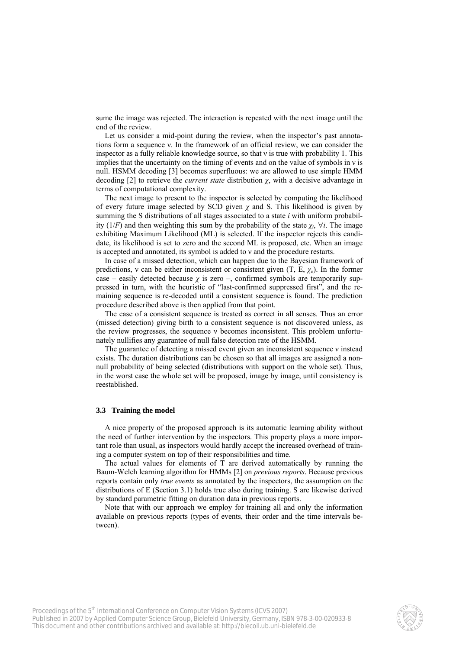sume the image was rejected. The interaction is repeated with the next image until the end of the review.

Let us consider a mid-point during the review, when the inspector's past annotations form a sequence ν. In the framework of an official review, we can consider the inspector as a fully reliable knowledge source, so that ν is true with probability 1. This implies that the uncertainty on the timing of events and on the value of symbols in ν is null. HSMM decoding [3] becomes superfluous: we are allowed to use simple HMM decoding [2] to retrieve the *current state* distribution  $\chi$ , with a decisive advantage in terms of computational complexity.

The next image to present to the inspector is selected by computing the likelihood of every future image selected by SCD given  $\chi$  and S. This likelihood is given by summing the S distributions of all stages associated to a state *i* with uniform probability (1/*F*) and then weighting this sum by the probability of the state  $\chi_i$ ,  $\forall i$ . The image exhibiting Maximum Likelihood (ML) is selected. If the inspector rejects this candidate, its likelihood is set to zero and the second ML is proposed, etc. When an image is accepted and annotated, its symbol is added to ν and the procedure restarts.

In case of a missed detection, which can happen due to the Bayesian framework of predictions, v can be either inconsistent or consistent given  $(T, E, \chi_0)$ . In the former case – easily detected because  $\chi$  is zero –, confirmed symbols are temporarily suppressed in turn, with the heuristic of "last-confirmed suppressed first", and the remaining sequence is re-decoded until a consistent sequence is found. The prediction procedure described above is then applied from that point.

The case of a consistent sequence is treated as correct in all senses. Thus an error (missed detection) giving birth to a consistent sequence is not discovered unless, as the review progresses, the sequence ν becomes inconsistent. This problem unfortunately nullifies any guarantee of null false detection rate of the HSMM.

The guarantee of detecting a missed event given an inconsistent sequence ν instead exists. The duration distributions can be chosen so that all images are assigned a nonnull probability of being selected (distributions with support on the whole set). Thus, in the worst case the whole set will be proposed, image by image, until consistency is reestablished.

## **3.3 Training the model**

A nice property of the proposed approach is its automatic learning ability without the need of further intervention by the inspectors. This property plays a more important role than usual, as inspectors would hardly accept the increased overhead of training a computer system on top of their responsibilities and time.

The actual values for elements of T are derived automatically by running the Baum-Welch learning algorithm for HMMs [2] on *previous reports*. Because previous reports contain only *true events* as annotated by the inspectors, the assumption on the distributions of E (Section 3.1) holds true also during training. S are likewise derived by standard parametric fitting on duration data in previous reports.

Note that with our approach we employ for training all and only the information available on previous reports (types of events, their order and the time intervals between).

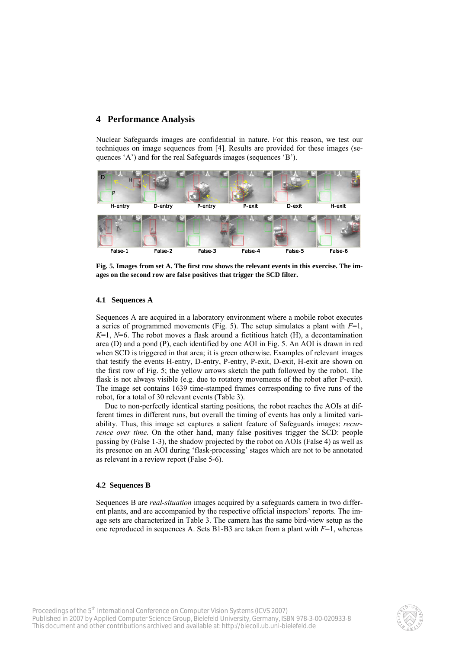## **4 Performance Analysis**

Nuclear Safeguards images are confidential in nature. For this reason, we test our techniques on image sequences from [4]. Results are provided for these images (sequences 'A') and for the real Safeguards images (sequences 'B').



**Fig. 5. Images from set A. The first row shows the relevant events in this exercise. The images on the second row are false positives that trigger the SCD filter.**

## **4.1 Sequences A**

Sequences A are acquired in a laboratory environment where a mobile robot executes a series of programmed movements (Fig. 5). The setup simulates a plant with  $F=1$ , *K*=1, *N*=6. The robot moves a flask around a fictitious hatch (H), a decontamination area (D) and a pond (P), each identified by one AOI in Fig. 5. An AOI is drawn in red when SCD is triggered in that area; it is green otherwise. Examples of relevant images that testify the events H-entry, D-entry, P-entry, P-exit, D-exit, H-exit are shown on the first row of Fig. 5; the yellow arrows sketch the path followed by the robot. The flask is not always visible (e.g. due to rotatory movements of the robot after P-exit). The image set contains 1639 time-stamped frames corresponding to five runs of the robot, for a total of 30 relevant events (Table 3).

Due to non-perfectly identical starting positions, the robot reaches the AOIs at different times in different runs, but overall the timing of events has only a limited variability. Thus, this image set captures a salient feature of Safeguards images: *recurrence over time*. On the other hand, many false positives trigger the SCD: people passing by (False 1-3), the shadow projected by the robot on AOIs (False 4) as well as its presence on an AOI during 'flask-processing' stages which are not to be annotated as relevant in a review report (False 5-6).

## **4.2 Sequences B**

Sequences B are *real-situation* images acquired by a safeguards camera in two different plants, and are accompanied by the respective official inspectors' reports. The image sets are characterized in Table 3. The camera has the same bird-view setup as the one reproduced in sequences A. Sets B1-B3 are taken from a plant with  $F=1$ , whereas

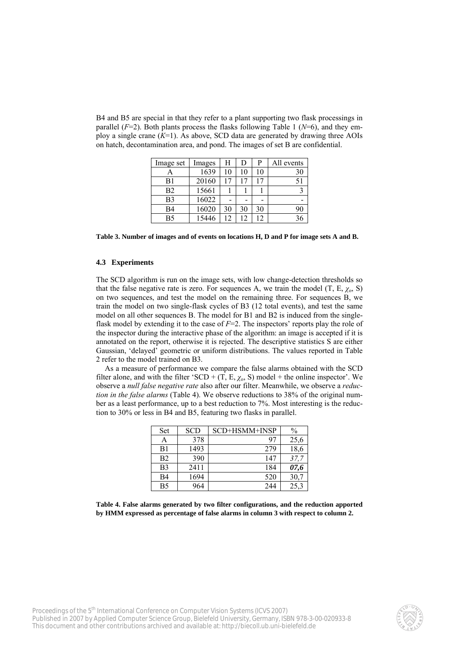B4 and B5 are special in that they refer to a plant supporting two flask processings in parallel  $(F=2)$ . Both plants process the flasks following Table 1 ( $N=6$ ), and they employ a single crane (*K*=1). As above, SCD data are generated by drawing three AOIs on hatch, decontamination area, and pond. The images of set B are confidential.

| Image set      | Images | H  | D  | P  | All events |
|----------------|--------|----|----|----|------------|
|                | 1639   | 10 | 10 | 10 | 30         |
| B1             | 20160  |    |    | 17 | 51         |
| B <sub>2</sub> | 15661  |    |    |    |            |
| B <sub>3</sub> | 16022  |    |    |    |            |
| B <sub>4</sub> | 16020  | 30 | 30 | 30 | 90         |
| B5             | 15446  | 12 | 12 | 12 |            |

**Table 3. Number of images and of events on locations H, D and P for image sets A and B.**

#### **4.3 Experiments**

The SCD algorithm is run on the image sets, with low change-detection thresholds so that the false negative rate is zero. For sequences A, we train the model  $(T, E, \chi_o, S)$ on two sequences, and test the model on the remaining three. For sequences B, we train the model on two single-flask cycles of B3 (12 total events), and test the same model on all other sequences B. The model for B1 and B2 is induced from the singleflask model by extending it to the case of  $F=2$ . The inspectors' reports play the role of the inspector during the interactive phase of the algorithm: an image is accepted if it is annotated on the report, otherwise it is rejected. The descriptive statistics S are either Gaussian, 'delayed' geometric or uniform distributions. The values reported in Table 2 refer to the model trained on B3.

As a measure of performance we compare the false alarms obtained with the SCD filter alone, and with the filter 'SCD +  $(T, E, \chi_0, S)$  model + the online inspector'. We observe a *null false negative rate* also after our filter. Meanwhile, we observe a *reduction in the false alarms* (Table 4). We observe reductions to 38% of the original number as a least performance, up to a best reduction to 7%. Most interesting is the reduction to 30% or less in B4 and B5, featuring two flasks in parallel.

| <b>Set</b>     | <b>SCD</b> | SCD+HSMM+INSP | $\frac{0}{0}$ |
|----------------|------------|---------------|---------------|
| Α              | 378        | 97            | 25,6          |
| B1             | 1493       | 279           | 18,6          |
| B <sub>2</sub> | 390        | 147           | 37,7          |
| B <sub>3</sub> | 2411       | 184           | 07,6          |
| B <sub>4</sub> | 1694       | 520           | 30,7          |
| B <sub>5</sub> | 964        | 244           | 25,3          |

**Table 4. False alarms generated by two filter configurations, and the reduction apported by HMM expressed as percentage of false alarms in column 3 with respect to column 2.**